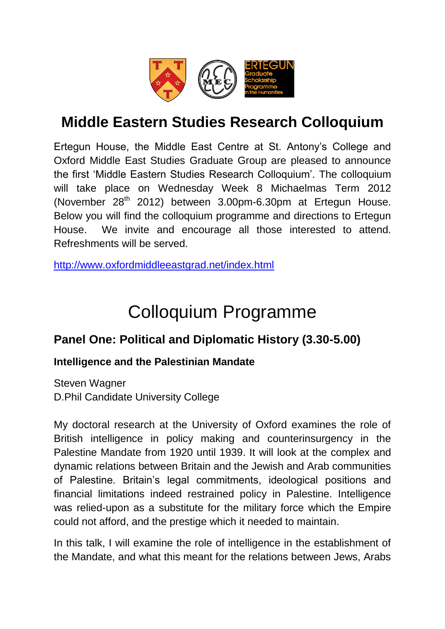

## **Middle Eastern Studies Research Colloquium**

Ertegun House, the Middle East Centre at St. Antony's College and Oxford Middle East Studies Graduate Group are pleased to announce the first 'Middle Eastern Studies Research Colloquium'. The colloquium will take place on Wednesday Week 8 Michaelmas Term 2012 (November  $28<sup>th</sup> 2012$ ) between 3.00pm-6.30pm at Ertegun House. Below you will find the colloquium programme and directions to Ertegun House. We invite and encourage all those interested to attend. Refreshments will be served.

<http://www.oxfordmiddleeastgrad.net/index.html>

# Colloquium Programme

## **Panel One: Political and Diplomatic History (3.30-5.00)**

## **Intelligence and the Palestinian Mandate**

Steven Wagner D.Phil Candidate University College

My doctoral research at the University of Oxford examines the role of British intelligence in policy making and counterinsurgency in the Palestine Mandate from 1920 until 1939. It will look at the complex and dynamic relations between Britain and the Jewish and Arab communities of Palestine. Britain's legal commitments, ideological positions and financial limitations indeed restrained policy in Palestine. Intelligence was relied-upon as a substitute for the military force which the Empire could not afford, and the prestige which it needed to maintain.

In this talk, I will examine the role of intelligence in the establishment of the Mandate, and what this meant for the relations between Jews, Arabs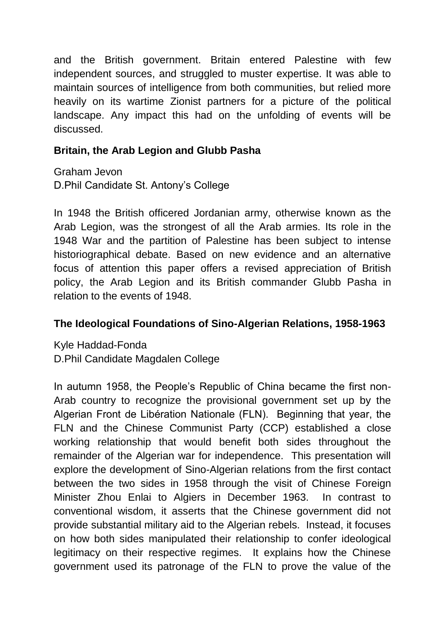and the British government. Britain entered Palestine with few independent sources, and struggled to muster expertise. It was able to maintain sources of intelligence from both communities, but relied more heavily on its wartime Zionist partners for a picture of the political landscape. Any impact this had on the unfolding of events will be discussed.

### **Britain, the Arab Legion and Glubb Pasha**

Graham Jevon D.Phil Candidate St. Antony's College

In 1948 the British officered Jordanian army, otherwise known as the Arab Legion, was the strongest of all the Arab armies. Its role in the 1948 War and the partition of Palestine has been subject to intense historiographical debate. Based on new evidence and an alternative focus of attention this paper offers a revised appreciation of British policy, the Arab Legion and its British commander Glubb Pasha in relation to the events of 1948.

#### **The Ideological Foundations of Sino-Algerian Relations, 1958-1963**

Kyle Haddad-Fonda D.Phil Candidate Magdalen College

In autumn 1958, the People's Republic of China became the first non-Arab country to recognize the provisional government set up by the Algerian Front de Libération Nationale (FLN). Beginning that year, the FLN and the Chinese Communist Party (CCP) established a close working relationship that would benefit both sides throughout the remainder of the Algerian war for independence. This presentation will explore the development of Sino-Algerian relations from the first contact between the two sides in 1958 through the visit of Chinese Foreign Minister Zhou Enlai to Algiers in December 1963. In contrast to conventional wisdom, it asserts that the Chinese government did not provide substantial military aid to the Algerian rebels. Instead, it focuses on how both sides manipulated their relationship to confer ideological legitimacy on their respective regimes. It explains how the Chinese government used its patronage of the FLN to prove the value of the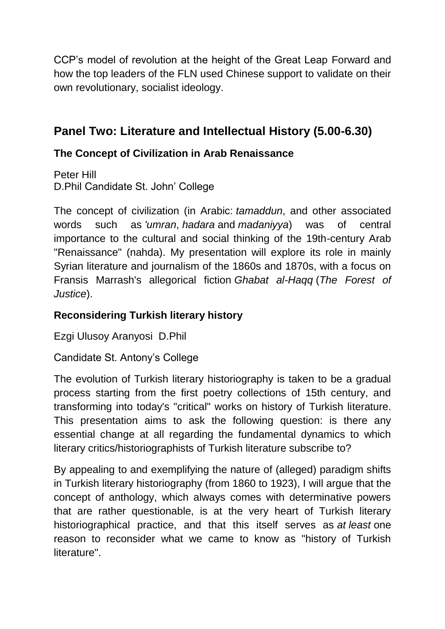CCP's model of revolution at the height of the Great Leap Forward and how the top leaders of the FLN used Chinese support to validate on their own revolutionary, socialist ideology.

## **Panel Two: Literature and Intellectual History (5.00-6.30)**

## **The Concept of Civilization in Arab Renaissance**

Peter Hill D.Phil Candidate St. John' College

The concept of civilization (in Arabic: *tamaddun*, and other associated words such as *'umran*, *hadara* and *madaniyya*) was of central importance to the cultural and social thinking of the 19th-century Arab "Renaissance" (nahda). My presentation will explore its role in mainly Syrian literature and journalism of the 1860s and 1870s, with a focus on Fransis Marrash's allegorical fiction *Ghabat al-Haqq* (*The Forest of Justice*).

### **Reconsidering Turkish literary history**

Ezgi Ulusoy Aranyosi D.Phil

Candidate St. Antony's College

The evolution of Turkish literary historiography is taken to be a gradual process starting from the first poetry collections of 15th century, and transforming into today's "critical" works on history of Turkish literature. This presentation aims to ask the following question: is there any essential change at all regarding the fundamental dynamics to which literary critics/historiographists of Turkish literature subscribe to?

By appealing to and exemplifying the nature of (alleged) paradigm shifts in Turkish literary historiography (from 1860 to 1923), I will argue that the concept of anthology, which always comes with determinative powers that are rather questionable, is at the very heart of Turkish literary historiographical practice, and that this itself serves as *at least* one reason to reconsider what we came to know as "history of Turkish literature".